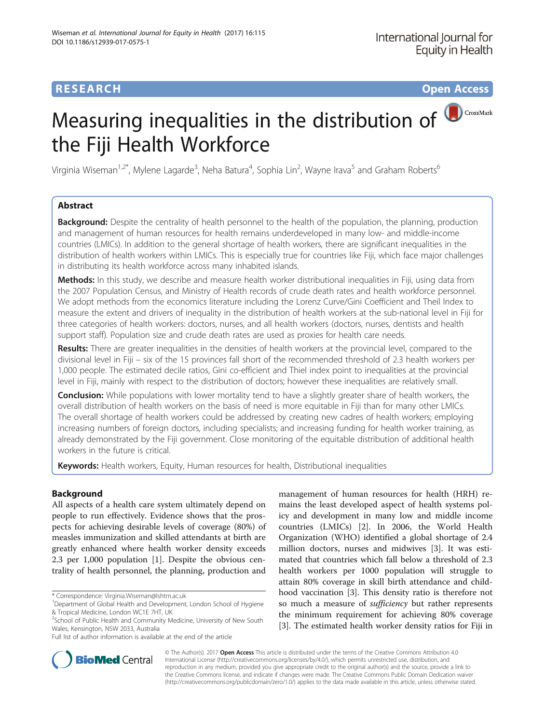# **RESEARCH CHE Open Access**

CrossMark

# Measuring inequalities in the distribution of the Fiji Health Workforce

Virginia Wiseman<sup>1,2\*</sup>, Mylene Lagarde<sup>3</sup>, Neha Batura<sup>4</sup>, Sophia Lin<sup>2</sup>, Wayne Irava<sup>5</sup> and Graham Roberts<sup>6</sup>

# Abstract

**Background:** Despite the centrality of health personnel to the health of the population, the planning, production and management of human resources for health remains underdeveloped in many low- and middle-income countries (LMICs). In addition to the general shortage of health workers, there are significant inequalities in the distribution of health workers within LMICs. This is especially true for countries like Fiji, which face major challenges in distributing its health workforce across many inhabited islands.

Methods: In this study, we describe and measure health worker distributional inequalities in Fiji, using data from the 2007 Population Census, and Ministry of Health records of crude death rates and health workforce personnel. We adopt methods from the economics literature including the Lorenz Curve/Gini Coefficient and Theil Index to measure the extent and drivers of inequality in the distribution of health workers at the sub-national level in Fiji for three categories of health workers: doctors, nurses, and all health workers (doctors, nurses, dentists and health support staff). Population size and crude death rates are used as proxies for health care needs.

Results: There are greater inequalities in the densities of health workers at the provincial level, compared to the divisional level in Fiji – six of the 15 provinces fall short of the recommended threshold of 2.3 health workers per 1,000 people. The estimated decile ratios, Gini co-efficient and Thiel index point to inequalities at the provincial level in Fiji, mainly with respect to the distribution of doctors; however these inequalities are relatively small.

Conclusion: While populations with lower mortality tend to have a slightly greater share of health workers, the overall distribution of health workers on the basis of need is more equitable in Fiji than for many other LMICs. The overall shortage of health workers could be addressed by creating new cadres of health workers; employing increasing numbers of foreign doctors, including specialists; and increasing funding for health worker training, as already demonstrated by the Fiji government. Close monitoring of the equitable distribution of additional health workers in the future is critical.

Keywords: Health workers, Equity, Human resources for health, Distributional inequalities

# Background

All aspects of a health care system ultimately depend on people to run effectively. Evidence shows that the prospects for achieving desirable levels of coverage (80%) of measles immunization and skilled attendants at birth are greatly enhanced where health worker density exceeds 2.3 per 1,000 population [\[1](#page-6-0)]. Despite the obvious centrality of health personnel, the planning, production and

\* Correspondence: [Virginia.Wiseman@lshtm.ac.uk](mailto:Virginia.Wiseman@lshtm.ac.uk) <sup>1</sup>

management of human resources for health (HRH) remains the least developed aspect of health systems policy and development in many low and middle income countries (LMICs) [[2\]](#page-6-0). In 2006, the World Health Organization (WHO) identified a global shortage of 2.4 million doctors, nurses and midwives [\[3](#page-6-0)]. It was estimated that countries which fall below a threshold of 2.3 health workers per 1000 population will struggle to attain 80% coverage in skill birth attendance and childhood vaccination [[3](#page-6-0)]. This density ratio is therefore not so much a measure of *sufficiency* but rather represents the minimum requirement for achieving 80% coverage [[3\]](#page-6-0). The estimated health worker density ratios for Fiji in



© The Author(s). 2017 **Open Access** This article is distributed under the terms of the Creative Commons Attribution 4.0 International License [\(http://creativecommons.org/licenses/by/4.0/](http://creativecommons.org/licenses/by/4.0/)), which permits unrestricted use, distribution, and reproduction in any medium, provided you give appropriate credit to the original author(s) and the source, provide a link to the Creative Commons license, and indicate if changes were made. The Creative Commons Public Domain Dedication waiver [\(http://creativecommons.org/publicdomain/zero/1.0/](http://creativecommons.org/publicdomain/zero/1.0/)) applies to the data made available in this article, unless otherwise stated.

<sup>&</sup>lt;sup>1</sup>Department of Global Health and Development, London School of Hygiene & Tropical Medicine, London WC1E 7HT, UK

<sup>&</sup>lt;sup>2</sup>School of Public Health and Community Medicine, University of New South Wales, Kensington, NSW 2033, Australia

Full list of author information is available at the end of the article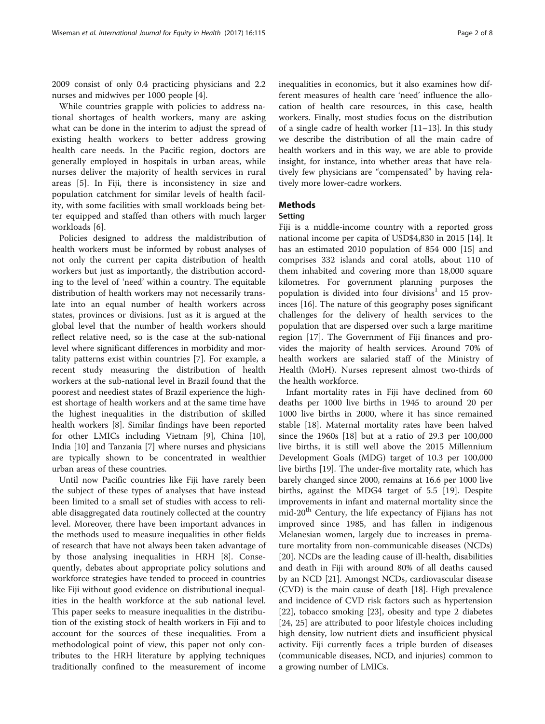2009 consist of only 0.4 practicing physicians and 2.2 nurses and midwives per 1000 people [[4\]](#page-6-0).

While countries grapple with policies to address national shortages of health workers, many are asking what can be done in the interim to adjust the spread of existing health workers to better address growing health care needs. In the Pacific region, doctors are generally employed in hospitals in urban areas, while nurses deliver the majority of health services in rural areas [[5\]](#page-6-0). In Fiji, there is inconsistency in size and population catchment for similar levels of health facility, with some facilities with small workloads being better equipped and staffed than others with much larger workloads [\[6](#page-6-0)].

Policies designed to address the maldistribution of health workers must be informed by robust analyses of not only the current per capita distribution of health workers but just as importantly, the distribution according to the level of 'need' within a country. The equitable distribution of health workers may not necessarily translate into an equal number of health workers across states, provinces or divisions. Just as it is argued at the global level that the number of health workers should reflect relative need, so is the case at the sub-national level where significant differences in morbidity and mortality patterns exist within countries [[7\]](#page-6-0). For example, a recent study measuring the distribution of health workers at the sub-national level in Brazil found that the poorest and neediest states of Brazil experience the highest shortage of health workers and at the same time have the highest inequalities in the distribution of skilled health workers [[8\]](#page-6-0). Similar findings have been reported for other LMICs including Vietnam [\[9](#page-6-0)], China [\[10](#page-6-0)], India [[10\]](#page-6-0) and Tanzania [[7](#page-6-0)] where nurses and physicians are typically shown to be concentrated in wealthier urban areas of these countries.

Until now Pacific countries like Fiji have rarely been the subject of these types of analyses that have instead been limited to a small set of studies with access to reliable disaggregated data routinely collected at the country level. Moreover, there have been important advances in the methods used to measure inequalities in other fields of research that have not always been taken advantage of by those analysing inequalities in HRH [[8\]](#page-6-0). Consequently, debates about appropriate policy solutions and workforce strategies have tended to proceed in countries like Fiji without good evidence on distributional inequalities in the health workforce at the sub national level. This paper seeks to measure inequalities in the distribution of the existing stock of health workers in Fiji and to account for the sources of these inequalities. From a methodological point of view, this paper not only contributes to the HRH literature by applying techniques traditionally confined to the measurement of income inequalities in economics, but it also examines how different measures of health care 'need' influence the allocation of health care resources, in this case, health workers. Finally, most studies focus on the distribution of a single cadre of health worker [[11](#page-6-0)–[13\]](#page-6-0). In this study we describe the distribution of all the main cadre of health workers and in this way, we are able to provide insight, for instance, into whether areas that have relatively few physicians are "compensated" by having relatively more lower-cadre workers.

# Methods

# Setting

Fiji is a middle-income country with a reported gross national income per capita of USD\$4,830 in 2015 [[14\]](#page-6-0). It has an estimated 2010 population of 854 000 [\[15](#page-6-0)] and comprises 332 islands and coral atolls, about 110 of them inhabited and covering more than 18,000 square kilometres. For government planning purposes the population is divided into four divisions<sup>1</sup> and 15 provinces [\[16](#page-6-0)]. The nature of this geography poses significant challenges for the delivery of health services to the population that are dispersed over such a large maritime region [\[17](#page-6-0)]. The Government of Fiji finances and provides the majority of health services. Around 70% of health workers are salaried staff of the Ministry of Health (MoH). Nurses represent almost two-thirds of the health workforce.

Infant mortality rates in Fiji have declined from 60 deaths per 1000 live births in 1945 to around 20 per 1000 live births in 2000, where it has since remained stable [\[18\]](#page-6-0). Maternal mortality rates have been halved since the 1960s [\[18](#page-6-0)] but at a ratio of 29.3 per 100,000 live births, it is still well above the 2015 Millennium Development Goals (MDG) target of 10.3 per 100,000 live births [\[19](#page-6-0)]. The under-five mortality rate, which has barely changed since 2000, remains at 16.6 per 1000 live births, against the MDG4 target of 5.5 [\[19\]](#page-6-0). Despite improvements in infant and maternal mortality since the mid-20th Century, the life expectancy of Fijians has not improved since 1985, and has fallen in indigenous Melanesian women, largely due to increases in premature mortality from non-communicable diseases (NCDs) [[20\]](#page-6-0). NCDs are the leading cause of ill-health, disabilities and death in Fiji with around 80% of all deaths caused by an NCD [\[21](#page-6-0)]. Amongst NCDs, cardiovascular disease (CVD) is the main cause of death [[18\]](#page-6-0). High prevalence and incidence of CVD risk factors such as hypertension [[22\]](#page-6-0), tobacco smoking [[23](#page-6-0)], obesity and type 2 diabetes [[24, 25\]](#page-6-0) are attributed to poor lifestyle choices including high density, low nutrient diets and insufficient physical activity. Fiji currently faces a triple burden of diseases (communicable diseases, NCD, and injuries) common to a growing number of LMICs.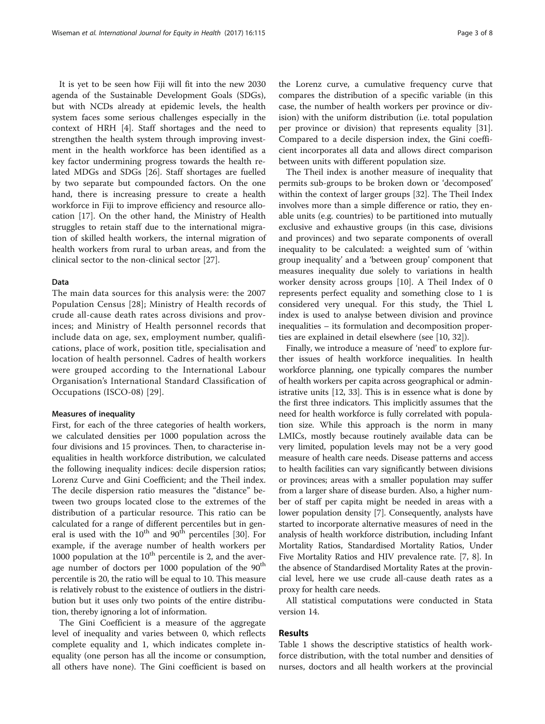It is yet to be seen how Fiji will fit into the new 2030 agenda of the Sustainable Development Goals (SDGs), but with NCDs already at epidemic levels, the health system faces some serious challenges especially in the context of HRH [[4\]](#page-6-0). Staff shortages and the need to strengthen the health system through improving investment in the health workforce has been identified as a key factor undermining progress towards the health related MDGs and SDGs [\[26\]](#page-6-0). Staff shortages are fuelled by two separate but compounded factors. On the one hand, there is increasing pressure to create a health workforce in Fiji to improve efficiency and resource allocation [\[17\]](#page-6-0). On the other hand, the Ministry of Health struggles to retain staff due to the international migration of skilled health workers, the internal migration of health workers from rural to urban areas, and from the

## Data

The main data sources for this analysis were: the 2007 Population Census [[28](#page-6-0)]; Ministry of Health records of crude all-cause death rates across divisions and provinces; and Ministry of Health personnel records that include data on age, sex, employment number, qualifications, place of work, position title, specialisation and location of health personnel. Cadres of health workers were grouped according to the International Labour Organisation's International Standard Classification of Occupations (ISCO-08) [[29\]](#page-6-0).

clinical sector to the non-clinical sector [\[27\]](#page-6-0).

## Measures of inequality

First, for each of the three categories of health workers, we calculated densities per 1000 population across the four divisions and 15 provinces. Then, to characterise inequalities in health workforce distribution, we calculated the following inequality indices: decile dispersion ratios; Lorenz Curve and Gini Coefficient; and the Theil index. The decile dispersion ratio measures the "distance" between two groups located close to the extremes of the distribution of a particular resource. This ratio can be calculated for a range of different percentiles but in general is used with the  $10^{th}$  and  $90^{th}$  percentiles [[30](#page-6-0)]. For example, if the average number of health workers per 1000 population at the  $10^{th}$  percentile is 2, and the average number of doctors per 1000 population of the 90<sup>th</sup> percentile is 20, the ratio will be equal to 10. This measure is relatively robust to the existence of outliers in the distribution but it uses only two points of the entire distribution, thereby ignoring a lot of information.

The Gini Coefficient is a measure of the aggregate level of inequality and varies between 0, which reflects complete equality and 1, which indicates complete inequality (one person has all the income or consumption, all others have none). The Gini coefficient is based on

the Lorenz curve, a cumulative frequency curve that compares the distribution of a specific variable (in this case, the number of health workers per province or division) with the uniform distribution (i.e. total population per province or division) that represents equality [\[31](#page-6-0)]. Compared to a decile dispersion index, the Gini coefficient incorporates all data and allows direct comparison between units with different population size.

The Theil index is another measure of inequality that permits sub-groups to be broken down or 'decomposed' within the context of larger groups [\[32](#page-6-0)]. The Theil Index involves more than a simple difference or ratio, they enable units (e.g. countries) to be partitioned into mutually exclusive and exhaustive groups (in this case, divisions and provinces) and two separate components of overall inequality to be calculated: a weighted sum of 'within group inequality' and a 'between group' component that measures inequality due solely to variations in health worker density across groups [[10\]](#page-6-0). A Theil Index of 0 represents perfect equality and something close to 1 is considered very unequal. For this study, the Thiel L index is used to analyse between division and province inequalities – its formulation and decomposition properties are explained in detail elsewhere (see [[10](#page-6-0), [32](#page-6-0)]).

Finally, we introduce a measure of 'need' to explore further issues of health workforce inequalities. In health workforce planning, one typically compares the number of health workers per capita across geographical or administrative units [[12](#page-6-0), [33](#page-6-0)]. This is in essence what is done by the first three indicators. This implicitly assumes that the need for health workforce is fully correlated with population size. While this approach is the norm in many LMICs, mostly because routinely available data can be very limited, population levels may not be a very good measure of health care needs. Disease patterns and access to health facilities can vary significantly between divisions or provinces; areas with a smaller population may suffer from a larger share of disease burden. Also, a higher number of staff per capita might be needed in areas with a lower population density [[7\]](#page-6-0). Consequently, analysts have started to incorporate alternative measures of need in the analysis of health workforce distribution, including Infant Mortality Ratios, Standardised Mortality Ratios, Under Five Mortality Ratios and HIV prevalence rate. [\[7](#page-6-0), [8](#page-6-0)]. In the absence of Standardised Mortality Rates at the provincial level, here we use crude all-cause death rates as a proxy for health care needs.

All statistical computations were conducted in Stata version 14.

# Results

Table [1](#page-3-0) shows the descriptive statistics of health workforce distribution, with the total number and densities of nurses, doctors and all health workers at the provincial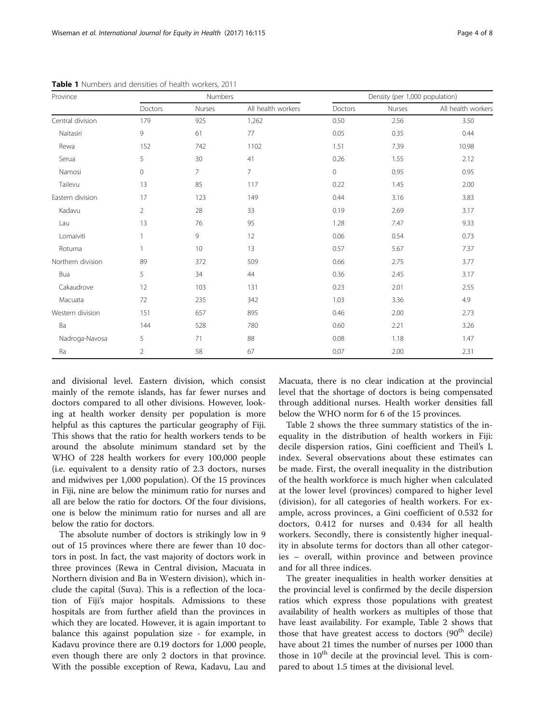| Province          | Numbers        |                |                    | Density (per 1,000 population) |        |                    |
|-------------------|----------------|----------------|--------------------|--------------------------------|--------|--------------------|
|                   | Doctors        | Nurses         | All health workers | Doctors                        | Nurses | All health workers |
| Central division  | 179            | 925            | 1,262              | 0.50                           | 2.56   | 3.50               |
| Naitasiri         | 9              | 61             | 77                 | 0.05                           | 0.35   | 0.44               |
| Rewa              | 152            | 742            | 1102               | 1.51                           | 7.39   | 10.98              |
| Serua             | 5              | 30             | 41                 | 0.26                           | 1.55   | 2.12               |
| Namosi            | $\mathbf 0$    | $\overline{7}$ | $\overline{7}$     | $\mathbf 0$                    | 0.95   | 0.95               |
| Tailevu           | 13             | 85             | 117                | 0.22                           | 1.45   | 2.00               |
| Eastern division  | 17             | 123            | 149                | 0.44                           | 3.16   | 3.83               |
| Kadavu            | 2              | 28             | 33                 | 0.19                           | 2.69   | 3.17               |
| Lau               | 13             | 76             | 95                 | 1.28                           | 7.47   | 9.33               |
| Lomaiviti         | $\mathbf{1}$   | 9              | 12                 | 0.06                           | 0.54   | 0.73               |
| Rotuma            | 1              | 10             | 13                 | 0.57                           | 5.67   | 7.37               |
| Northern division | 89             | 372            | 509                | 0.66                           | 2.75   | 3.77               |
| Bua               | 5              | 34             | 44                 | 0.36                           | 2.45   | 3.17               |
| Cakaudrove        | 12             | 103            | 131                | 0.23                           | 2.01   | 2.55               |
| Macuata           | 72             | 235            | 342                | 1.03                           | 3.36   | 4.9                |
| Western division  | 151            | 657            | 895                | 0.46                           | 2.00   | 2.73               |
| Ba                | 144            | 528            | 780                | 0.60                           | 2.21   | 3.26               |
| Nadroga-Navosa    | 5              | 71             | 88                 | 0.08                           | 1.18   | 1.47               |
| Ra                | $\overline{2}$ | 58             | 67                 | 0.07                           | 2.00   | 2.31               |

<span id="page-3-0"></span>Table 1 Numbers and densities of health workers, 2011

and divisional level. Eastern division, which consist mainly of the remote islands, has far fewer nurses and doctors compared to all other divisions. However, looking at health worker density per population is more helpful as this captures the particular geography of Fiji. This shows that the ratio for health workers tends to be around the absolute minimum standard set by the WHO of 228 health workers for every 100,000 people (i.e. equivalent to a density ratio of 2.3 doctors, nurses and midwives per 1,000 population). Of the 15 provinces in Fiji, nine are below the minimum ratio for nurses and all are below the ratio for doctors. Of the four divisions, one is below the minimum ratio for nurses and all are below the ratio for doctors.

The absolute number of doctors is strikingly low in 9 out of 15 provinces where there are fewer than 10 doctors in post. In fact, the vast majority of doctors work in three provinces (Rewa in Central division, Macuata in Northern division and Ba in Western division), which include the capital (Suva). This is a reflection of the location of Fiji's major hospitals. Admissions to these hospitals are from further afield than the provinces in which they are located. However, it is again important to balance this against population size - for example, in Kadavu province there are 0.19 doctors for 1,000 people, even though there are only 2 doctors in that province. With the possible exception of Rewa, Kadavu, Lau and

Macuata, there is no clear indication at the provincial level that the shortage of doctors is being compensated through additional nurses. Health worker densities fall below the WHO norm for 6 of the 15 provinces.

Table [2](#page-4-0) shows the three summary statistics of the inequality in the distribution of health workers in Fiji: decile dispersion ratios, Gini coefficient and Theil's L index. Several observations about these estimates can be made. First, the overall inequality in the distribution of the health workforce is much higher when calculated at the lower level (provinces) compared to higher level (division), for all categories of health workers. For example, across provinces, a Gini coefficient of 0.532 for doctors, 0.412 for nurses and 0.434 for all health workers. Secondly, there is consistently higher inequality in absolute terms for doctors than all other categories – overall, within province and between province and for all three indices.

The greater inequalities in health worker densities at the provincial level is confirmed by the decile dispersion ratios which express those populations with greatest availability of health workers as multiples of those that have least availability. For example, Table [2](#page-4-0) shows that those that have greatest access to doctors (90<sup>th</sup> decile) have about 21 times the number of nurses per 1000 than those in  $10^{th}$  decile at the provincial level. This is compared to about 1.5 times at the divisional level.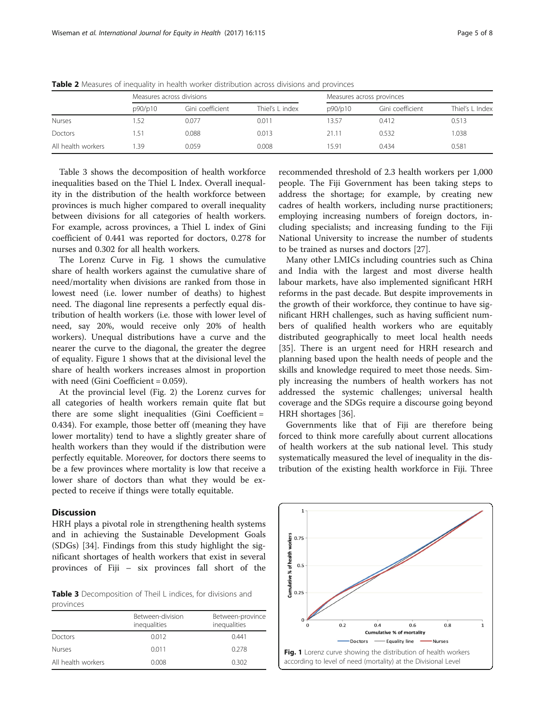|                    | Measures across divisions |                  |                 | Measures across provinces |                  |                 |
|--------------------|---------------------------|------------------|-----------------|---------------------------|------------------|-----------------|
|                    | p90/p10                   | Gini coefficient | Thiel's L index | p90/p10                   | Gini coefficient | Thiel's L Index |
| <b>Nurses</b>      | .52                       | 0.077            | 0.011           | 13.57                     | 0.412            | 0.513           |
| Doctors            | .51                       | 0.088            | 0.013           | 21.11                     | 0.532            | 1.038           |
| All health workers | -39                       | 0.059            | 0.008           | 15.91                     | 0.434            | 0.581           |

<span id="page-4-0"></span>**Table 2** Measures of inequality in health worker distribution across divisions and provinces

Table 3 shows the decomposition of health workforce inequalities based on the Thiel L Index. Overall inequality in the distribution of the health workforce between provinces is much higher compared to overall inequality between divisions for all categories of health workers. For example, across provinces, a Thiel L index of Gini coefficient of 0.441 was reported for doctors, 0.278 for nurses and 0.302 for all health workers.

The Lorenz Curve in Fig. 1 shows the cumulative share of health workers against the cumulative share of need/mortality when divisions are ranked from those in lowest need (i.e. lower number of deaths) to highest need. The diagonal line represents a perfectly equal distribution of health workers (i.e. those with lower level of need, say 20%, would receive only 20% of health workers). Unequal distributions have a curve and the nearer the curve to the diagonal, the greater the degree of equality. Figure 1 shows that at the divisional level the share of health workers increases almost in proportion with need (Gini Coefficient = 0.059).

At the provincial level (Fig. [2\)](#page-5-0) the Lorenz curves for all categories of health workers remain quite flat but there are some slight inequalities (Gini Coefficient = 0.434). For example, those better off (meaning they have lower mortality) tend to have a slightly greater share of health workers than they would if the distribution were perfectly equitable. Moreover, for doctors there seems to be a few provinces where mortality is low that receive a lower share of doctors than what they would be expected to receive if things were totally equitable.

# **Discussion**

HRH plays a pivotal role in strengthening health systems and in achieving the Sustainable Development Goals (SDGs) [\[34](#page-7-0)]. Findings from this study highlight the significant shortages of health workers that exist in several provinces of Fiji – six provinces fall short of the

Table 3 Decomposition of Theil L indices, for divisions and provinces

|                    | Between-division<br>inequalities | Between-province<br>inequalities |
|--------------------|----------------------------------|----------------------------------|
| Doctors            | 0.012                            | 0.441                            |
| <b>Nurses</b>      | 0.011                            | 0.278                            |
| All health workers | 0.008                            | 0.302                            |

recommended threshold of 2.3 health workers per 1,000 people. The Fiji Government has been taking steps to address the shortage; for example, by creating new cadres of health workers, including nurse practitioners; employing increasing numbers of foreign doctors, including specialists; and increasing funding to the Fiji National University to increase the number of students to be trained as nurses and doctors [\[27](#page-6-0)].

Many other LMICs including countries such as China and India with the largest and most diverse health labour markets, have also implemented significant HRH reforms in the past decade. But despite improvements in the growth of their workforce, they continue to have significant HRH challenges, such as having sufficient numbers of qualified health workers who are equitably distributed geographically to meet local health needs [[35\]](#page-7-0). There is an urgent need for HRH research and planning based upon the health needs of people and the skills and knowledge required to meet those needs. Simply increasing the numbers of health workers has not addressed the systemic challenges; universal health coverage and the SDGs require a discourse going beyond HRH shortages [\[36](#page-7-0)].

Governments like that of Fiji are therefore being forced to think more carefully about current allocations of health workers at the sub national level. This study systematically measured the level of inequality in the distribution of the existing health workforce in Fiji. Three

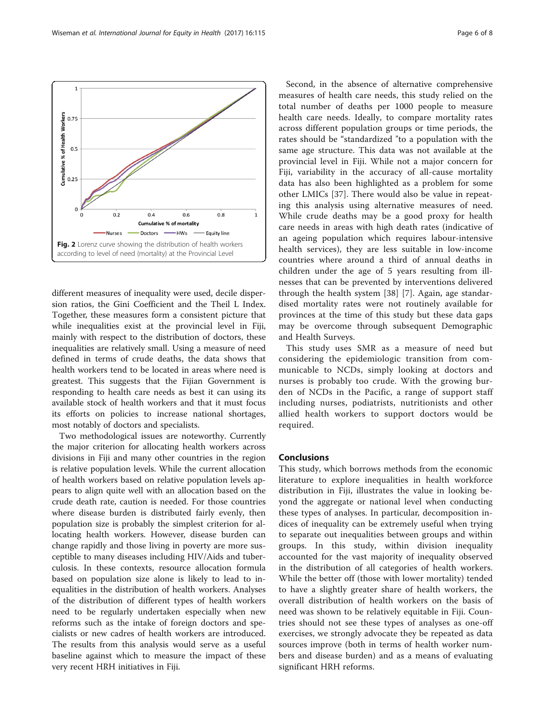different measures of inequality were used, decile dispersion ratios, the Gini Coefficient and the Theil L Index. Together, these measures form a consistent picture that while inequalities exist at the provincial level in Fiji, mainly with respect to the distribution of doctors, these inequalities are relatively small. Using a measure of need defined in terms of crude deaths, the data shows that health workers tend to be located in areas where need is greatest. This suggests that the Fijian Government is responding to health care needs as best it can using its available stock of health workers and that it must focus its efforts on policies to increase national shortages, most notably of doctors and specialists.

Two methodological issues are noteworthy. Currently the major criterion for allocating health workers across divisions in Fiji and many other countries in the region is relative population levels. While the current allocation of health workers based on relative population levels appears to align quite well with an allocation based on the crude death rate, caution is needed. For those countries where disease burden is distributed fairly evenly, then population size is probably the simplest criterion for allocating health workers. However, disease burden can change rapidly and those living in poverty are more susceptible to many diseases including HIV/Aids and tuberculosis. In these contexts, resource allocation formula based on population size alone is likely to lead to inequalities in the distribution of health workers. Analyses of the distribution of different types of health workers need to be regularly undertaken especially when new reforms such as the intake of foreign doctors and specialists or new cadres of health workers are introduced. The results from this analysis would serve as a useful baseline against which to measure the impact of these very recent HRH initiatives in Fiji.

Second, in the absence of alternative comprehensive measures of health care needs, this study relied on the total number of deaths per 1000 people to measure health care needs. Ideally, to compare mortality rates across different population groups or time periods, the rates should be "standardized "to a population with the same age structure. This data was not available at the provincial level in Fiji. While not a major concern for Fiji, variability in the accuracy of all-cause mortality data has also been highlighted as a problem for some other LMICs [\[37](#page-7-0)]. There would also be value in repeating this analysis using alternative measures of need. While crude deaths may be a good proxy for health care needs in areas with high death rates (indicative of an ageing population which requires labour-intensive health services), they are less suitable in low-income countries where around a third of annual deaths in children under the age of 5 years resulting from illnesses that can be prevented by interventions delivered through the health system [[38\]](#page-7-0) [[7\]](#page-6-0). Again, age standardised mortality rates were not routinely available for provinces at the time of this study but these data gaps may be overcome through subsequent Demographic and Health Surveys.

This study uses SMR as a measure of need but considering the epidemiologic transition from communicable to NCDs, simply looking at doctors and nurses is probably too crude. With the growing burden of NCDs in the Pacific, a range of support staff including nurses, podiatrists, nutritionists and other allied health workers to support doctors would be required.

# Conclusions

This study, which borrows methods from the economic literature to explore inequalities in health workforce distribution in Fiji, illustrates the value in looking beyond the aggregate or national level when conducting these types of analyses. In particular, decomposition indices of inequality can be extremely useful when trying to separate out inequalities between groups and within groups. In this study, within division inequality accounted for the vast majority of inequality observed in the distribution of all categories of health workers. While the better off (those with lower mortality) tended to have a slightly greater share of health workers, the overall distribution of health workers on the basis of need was shown to be relatively equitable in Fiji. Countries should not see these types of analyses as one-off exercises, we strongly advocate they be repeated as data sources improve (both in terms of health worker numbers and disease burden) and as a means of evaluating significant HRH reforms.

<span id="page-5-0"></span>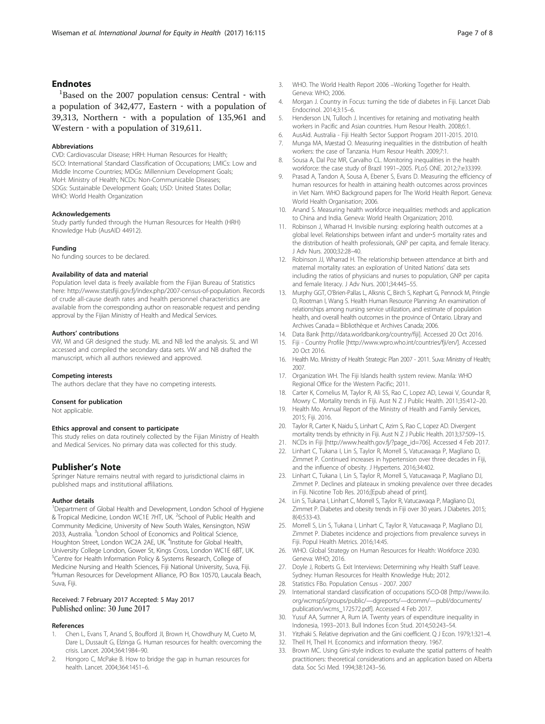# <span id="page-6-0"></span>**Endnotes**

 ${}^{1}$ Based on the 2007 population census: Central  $\cdot$  with a population of 342,477, Eastern ‐ with a population of 39,313, Northern ‐ with a population of 135,961 and Western - with a population of 319,611.

#### Abbreviations

CVD: Cardiovascular Disease; HRH: Human Resources for Health; ISCO: International Standard Classification of Occupations; LMICs: Low and Middle Income Countries; MDGs: Millennium Development Goals; MoH: Ministry of Health; NCDs: Non-Communicable Diseases; SDGs: Sustainable Development Goals; USD: United States Dollar; WHO: World Health Organization

#### Acknowledgements

Study partly funded through the Human Resources for Health (HRH) Knowledge Hub (AusAID 44912).

#### Funding

No funding sources to be declared.

#### Availability of data and material

Population level data is freely available from the Fijian Bureau of Statistics here:<http://www.statsfiji.gov.fj/index.php/2007-census-of-population>. Records of crude all-cause death rates and health personnel characteristics are available from the corresponding author on reasonable request and pending approval by the Fijian Ministry of Health and Medical Services.

### Authors' contributions

VW, WI and GR designed the study. ML and NB led the analysis. SL and WI accessed and compiled the secondary data sets. VW and NB drafted the manuscript, which all authors reviewed and approved.

#### Competing interests

The authors declare that they have no competing interests.

#### Consent for publication

Not applicable.

# Ethics approval and consent to participate

This study relies on data routinely collected by the Fijian Ministry of Health and Medical Services. No primary data was collected for this study.

## Publisher's Note

Springer Nature remains neutral with regard to jurisdictional claims in published maps and institutional affiliations.

#### Author details

<sup>1</sup>Department of Global Health and Development, London School of Hygiene & Tropical Medicine, London WC1E 7HT, UK. <sup>2</sup>School of Public Health and Community Medicine, University of New South Wales, Kensington, NSW 2033, Australia. <sup>3</sup> London School of Economics and Political Science, Houghton Street, London WC2A 2AE, UK. <sup>4</sup>Institute for Global Health, University College London, Gower St, Kings Cross, London WC1E 6BT, UK. <sup>5</sup>Centre for Health Information Policy & Systems Research, College of Medicine Nursing and Health Sciences, Fiji National University, Suva, Fiji. 6 Human Resources for Development Alliance, PO Box 10570, Laucala Beach, Suva, Fiji.

## Received: 7 February 2017 Accepted: 5 May 2017 Published online: 30 June 2017

#### References

- Chen L, Evans T, Anand S, Boufford JI, Brown H, Chowdhury M, Cueto M, Dare L, Dussault G, Elzinga G. Human resources for health: overcoming the crisis. Lancet. 2004;364:1984–90.
- 2. Hongoro C, McPake B. How to bridge the gap in human resources for health. Lancet. 2004;364:1451–6.
- 3. WHO. The World Health Report 2006 –Working Together for Health. Geneva: WHO; 2006.
- 4. Morgan J. Country in Focus: turning the tide of diabetes in Fiji. Lancet Diab Endocrinol. 2014;3:15–6.
- 5. Henderson LN, Tulloch J. Incentives for retaining and motivating health workers in Pacific and Asian countries. Hum Resour Health. 2008;6:1.
- 6. AusAid. Australia Fiji Health Sector Support Program 2011-2015. 2010. 7. Munga MA, Mæstad O. Measuring inequalities in the distribution of health
- workers: the case of Tanzania. Hum Resour Health. 2009;7:1. 8. Sousa A, Dal Poz MR, Carvalho CL. Monitoring inequalities in the health
- workforce: the case study of Brazil 1991–2005. PLoS ONE. 2012;7:e33399.
- 9. Prasad A, Tandon A, Sousa A, Ebener S, Evans D. Measuring the efficiency of human resources for health in attaining health outcomes across provinces in Viet Nam. WHO Background papers for The World Health Report. Geneva: World Health Organisation; 2006.
- 10. Anand S. Measuring health workforce inequalities: methods and application to China and India. Geneva: World Health Organization; 2010.
- 11. Robinson J, Wharrad H. Invisible nursing: exploring health outcomes at a global level. Relationships between infant and under‐5 mortality rates and the distribution of health professionals, GNP per capita, and female literacy. J Adv Nurs. 2000;32:28–40.
- 12. Robinson JJ, Wharrad H. The relationship between attendance at birth and maternal mortality rates: an exploration of United Nations' data sets including the ratios of physicians and nurses to population, GNP per capita and female literacy. J Adv Nurs. 2001;34:445–55.
- 13. Murphy GGT, O'Brien-Pallas L, Alksnis C, Birch S, Kephart G, Pennock M, Pringle D, Rootman I, Wang S. Health Human Resource Planning: An examination of relationships among nursing service utilization, and estimate of population health, and overall health outcomes in the province of Ontario. Library and Archives Canada = Bibliothèque et Archives Canada; 2006.
- 14. Data Bank [\[http://data.worldbank.org/country/fiji\]](http://data.worldbank.org/country/fiji). Accessed 20 Oct 2016.
- 15. Fiji Country Profile [\[http://www.wpro.who.int/countries/fji/en/\]](http://www.wpro.who.int/countries/fji/en/). Accessed 20 Oct 2016.
- 16. Health Mo. Ministry of Health Strategic Plan 2007 2011. Suva: Ministry of Health; 2007.
- 17. Organization WH. The Fiji Islands health system review. Manila: WHO Regional Office for the Western Pacific; 2011.
- 18. Carter K, Cornelius M, Taylor R, Ali SS, Rao C, Lopez AD, Lewai V, Goundar R, Mowry C. Mortality trends in Fiji. Aust N Z J Public Health. 2011;35:412–20.
- 19. Health Mo. Annual Report of the Ministry of Health and Family Services, 2015; Fiji. 2016.
- 20. Taylor R, Carter K, Naidu S, Linhart C, Azim S, Rao C, Lopez AD. Divergent mortality trends by ethnicity in Fiji. Aust N Z J Public Health. 2013;37:509–15.
- 21. NCDs in Fiji [[http://www.health.gov.fj/?page\\_id=706](http://www.health.gov.fj/?page_id=706)]. Accessed 4 Feb 2017.
- 22. Linhart C, Tukana I, Lin S, Taylor R, Morrell S, Vatucawaqa P, Magliano D, Zimmet P. Continued increases in hypertension over three decades in Fiji, and the influence of obesity. J Hypertens. 2016;34:402.
- 23. Linhart C, Tukana I, Lin S, Taylor R, Morrell S, Vatucawaqa P, Magliano DJ, Zimmet P. Declines and plateaux in smoking prevalence over three decades in Fiji. Nicotine Tob Res. 2016;[Epub ahead of print].
- 24. Lin S, Tukana I, Linhart C, Morrell S, Taylor R, Vatucawaqa P, Magliano DJ, Zimmet P. Diabetes and obesity trends in Fiji over 30 years. J Diabetes. 2015; 8(4):533-43.
- 25. Morrell S, Lin S, Tukana I, Linhart C, Taylor R, Vatucawaqa P, Magliano DJ, Zimmet P. Diabetes incidence and projections from prevalence surveys in Fiji. Popul Health Metrics. 2016;14:45.
- 26. WHO. Global Strategy on Human Resources for Health: Workforce 2030. Geneva: WHO; 2016.
- 27. Doyle J, Roberts G. Exit Interviews: Determining why Health Staff Leave. Sydney: Human Resources for Health Knowledge Hub; 2012.
- 28. Statistics FBo. Population Census 2007. 2007
- 29. International standard classification of occupations ISCO-08 [[http://www.ilo.](http://www.ilo.org/wcmsp5/groups/public/---dgreports/---dcomm/---publ/documents/publication/wcms_172572.pdf) [org/wcmsp5/groups/public/](http://www.ilo.org/wcmsp5/groups/public/---dgreports/---dcomm/---publ/documents/publication/wcms_172572.pdf)—dgreports/—dcomm/—publ/documents/ [publication/wcms\\_172572.pdf](http://www.ilo.org/wcmsp5/groups/public/---dgreports/---dcomm/---publ/documents/publication/wcms_172572.pdf)]. Accessed 4 Feb 2017.
- 30. Yusuf AA, Sumner A, Rum IA. Twenty years of expenditure inequality in Indonesia, 1993–2013. Bull Indones Econ Stud. 2014;50:243–54.
- 31. Yitzhaki S. Relative deprivation and the Gini coefficient. Q J Econ. 1979;1:321–4.
- 32. Theil H, Theil H. Economics and information theory. 1967.
- 33. Brown MC. Using Gini-style indices to evaluate the spatial patterns of health practitioners: theoretical considerations and an application based on Alberta data. Soc Sci Med. 1994;38:1243–56.